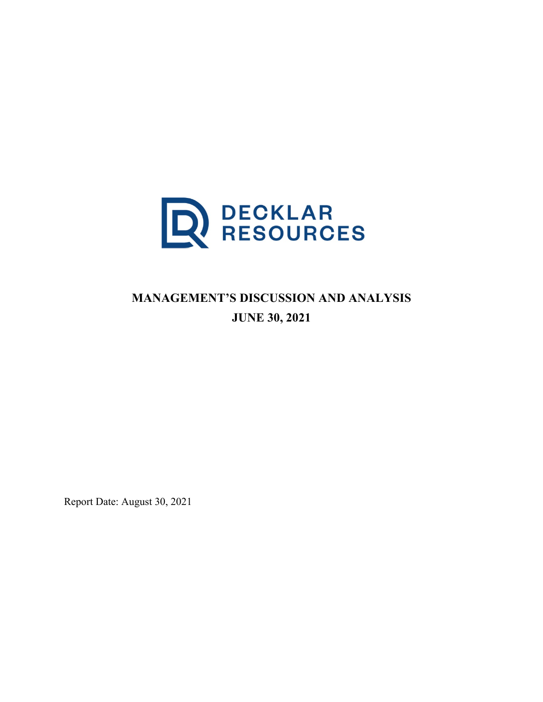

# **MANAGEMENT'S DISCUSSION AND ANALYSIS JUNE 30, 2021**

Report Date: August 30, 2021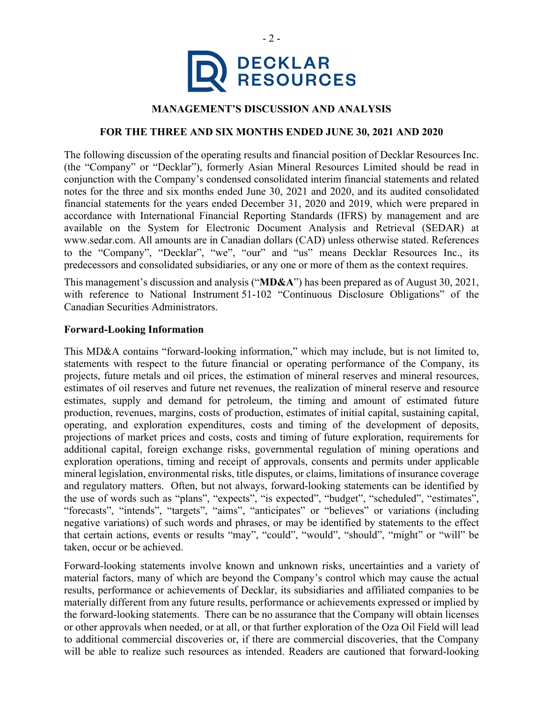

# **MANAGEMENT'S DISCUSSION AND ANALYSIS**

#### **FOR THE THREE AND SIX MONTHS ENDED JUNE 30, 2021 AND 2020**

The following discussion of the operating results and financial position of Decklar Resources Inc. (the "Company" or "Decklar"), formerly Asian Mineral Resources Limited should be read in conjunction with the Company's condensed consolidated interim financial statements and related notes for the three and six months ended June 30, 2021 and 2020, and its audited consolidated financial statements for the years ended December 31, 2020 and 2019, which were prepared in accordance with International Financial Reporting Standards (IFRS) by management and are available on the System for Electronic Document Analysis and Retrieval (SEDAR) at www.sedar.com. All amounts are in Canadian dollars (CAD) unless otherwise stated. References to the "Company", "Decklar", "we", "our" and "us" means Decklar Resources Inc., its predecessors and consolidated subsidiaries, or any one or more of them as the context requires.

This management's discussion and analysis ("**MD&A**") has been prepared as of August 30, 2021, with reference to National Instrument 51-102 "Continuous Disclosure Obligations" of the Canadian Securities Administrators.

#### **Forward-Looking Information**

This MD&A contains "forward-looking information," which may include, but is not limited to, statements with respect to the future financial or operating performance of the Company, its projects, future metals and oil prices, the estimation of mineral reserves and mineral resources, estimates of oil reserves and future net revenues, the realization of mineral reserve and resource estimates, supply and demand for petroleum, the timing and amount of estimated future production, revenues, margins, costs of production, estimates of initial capital, sustaining capital, operating, and exploration expenditures, costs and timing of the development of deposits, projections of market prices and costs, costs and timing of future exploration, requirements for additional capital, foreign exchange risks, governmental regulation of mining operations and exploration operations, timing and receipt of approvals, consents and permits under applicable mineral legislation, environmental risks, title disputes, or claims, limitations of insurance coverage and regulatory matters. Often, but not always, forward-looking statements can be identified by the use of words such as "plans", "expects", "is expected", "budget", "scheduled", "estimates", "forecasts", "intends", "targets", "aims", "anticipates" or "believes" or variations (including negative variations) of such words and phrases, or may be identified by statements to the effect that certain actions, events or results "may", "could", "would", "should", "might" or "will" be taken, occur or be achieved.

Forward-looking statements involve known and unknown risks, uncertainties and a variety of material factors, many of which are beyond the Company's control which may cause the actual results, performance or achievements of Decklar, its subsidiaries and affiliated companies to be materially different from any future results, performance or achievements expressed or implied by the forward-looking statements. There can be no assurance that the Company will obtain licenses or other approvals when needed, or at all, or that further exploration of the Oza Oil Field will lead to additional commercial discoveries or, if there are commercial discoveries, that the Company will be able to realize such resources as intended. Readers are cautioned that forward-looking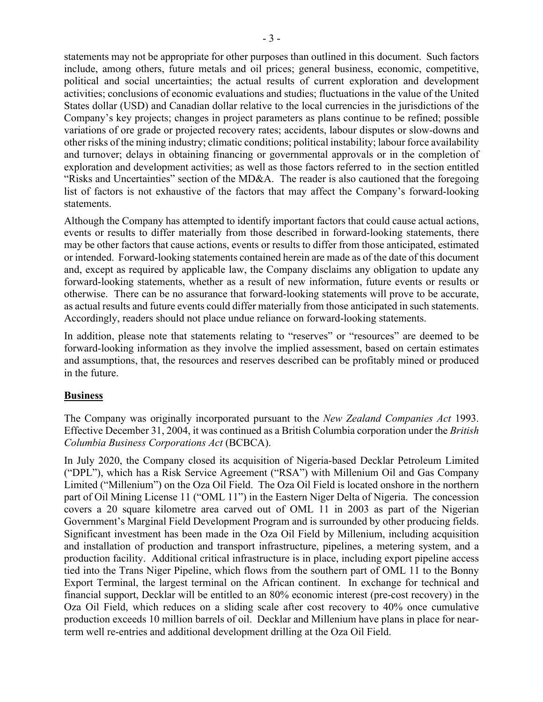statements may not be appropriate for other purposes than outlined in this document. Such factors include, among others, future metals and oil prices; general business, economic, competitive, political and social uncertainties; the actual results of current exploration and development activities; conclusions of economic evaluations and studies; fluctuations in the value of the United States dollar (USD) and Canadian dollar relative to the local currencies in the jurisdictions of the Company's key projects; changes in project parameters as plans continue to be refined; possible variations of ore grade or projected recovery rates; accidents, labour disputes or slow-downs and other risks of the mining industry; climatic conditions; political instability; labour force availability and turnover; delays in obtaining financing or governmental approvals or in the completion of exploration and development activities; as well as those factors referred to in the section entitled "Risks and Uncertainties" section of the MD&A. The reader is also cautioned that the foregoing list of factors is not exhaustive of the factors that may affect the Company's forward-looking statements.

Although the Company has attempted to identify important factors that could cause actual actions, events or results to differ materially from those described in forward-looking statements, there may be other factors that cause actions, events or results to differ from those anticipated, estimated or intended. Forward-looking statements contained herein are made as of the date of this document and, except as required by applicable law, the Company disclaims any obligation to update any forward-looking statements, whether as a result of new information, future events or results or otherwise. There can be no assurance that forward-looking statements will prove to be accurate, as actual results and future events could differ materially from those anticipated in such statements. Accordingly, readers should not place undue reliance on forward-looking statements.

In addition, please note that statements relating to "reserves" or "resources" are deemed to be forward-looking information as they involve the implied assessment, based on certain estimates and assumptions, that, the resources and reserves described can be profitably mined or produced in the future.

# **Business**

The Company was originally incorporated pursuant to the *New Zealand Companies Act* 1993. Effective December 31, 2004, it was continued as a British Columbia corporation under the *British Columbia Business Corporations Act* (BCBCA).

In July 2020, the Company closed its acquisition of Nigeria-based Decklar Petroleum Limited ("DPL"), which has a Risk Service Agreement ("RSA") with Millenium Oil and Gas Company Limited ("Millenium") on the Oza Oil Field. The Oza Oil Field is located onshore in the northern part of Oil Mining License 11 ("OML 11") in the Eastern Niger Delta of Nigeria. The concession covers a 20 square kilometre area carved out of OML 11 in 2003 as part of the Nigerian Government's Marginal Field Development Program and is surrounded by other producing fields. Significant investment has been made in the Oza Oil Field by Millenium, including acquisition and installation of production and transport infrastructure, pipelines, a metering system, and a production facility. Additional critical infrastructure is in place, including export pipeline access tied into the Trans Niger Pipeline, which flows from the southern part of OML 11 to the Bonny Export Terminal, the largest terminal on the African continent. In exchange for technical and financial support, Decklar will be entitled to an 80% economic interest (pre-cost recovery) in the Oza Oil Field, which reduces on a sliding scale after cost recovery to 40% once cumulative production exceeds 10 million barrels of oil. Decklar and Millenium have plans in place for nearterm well re-entries and additional development drilling at the Oza Oil Field.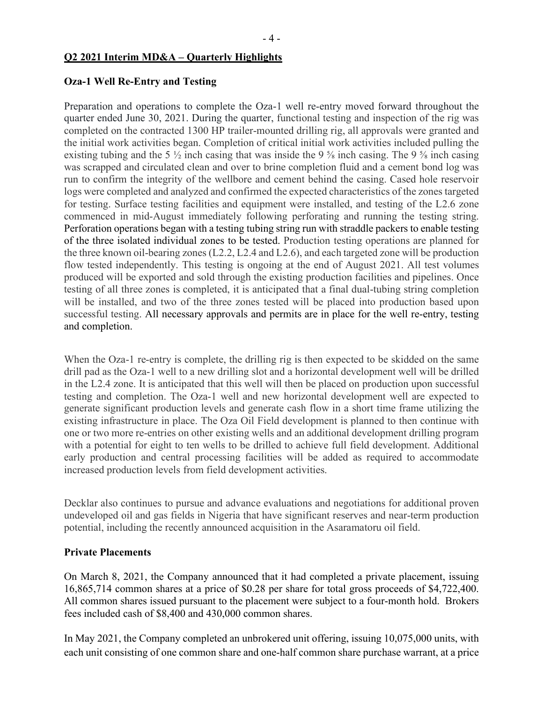#### **Q2 2021 Interim MD&A – Quarterly Highlights**

#### **Oza-1 Well Re-Entry and Testing**

Preparation and operations to complete the Oza-1 well re-entry moved forward throughout the quarter ended June 30, 2021. During the quarter, functional testing and inspection of the rig was completed on the contracted 1300 HP trailer-mounted drilling rig, all approvals were granted and the initial work activities began. Completion of critical initial work activities included pulling the existing tubing and the 5 ½ inch casing that was inside the 9 ⅝ inch casing. The 9 ⅝ inch casing was scrapped and circulated clean and over to brine completion fluid and a cement bond log was run to confirm the integrity of the wellbore and cement behind the casing. Cased hole reservoir logs were completed and analyzed and confirmed the expected characteristics of the zones targeted for testing. Surface testing facilities and equipment were installed, and testing of the L2.6 zone commenced in mid-August immediately following perforating and running the testing string. Perforation operations began with a testing tubing string run with straddle packers to enable testing of the three isolated individual zones to be tested. Production testing operations are planned for the three known oil-bearing zones (L2.2, L2.4 and L2.6), and each targeted zone will be production flow tested independently. This testing is ongoing at the end of August 2021. All test volumes produced will be exported and sold through the existing production facilities and pipelines. Once testing of all three zones is completed, it is anticipated that a final dual-tubing string completion will be installed, and two of the three zones tested will be placed into production based upon successful testing. All necessary approvals and permits are in place for the well re-entry, testing and completion.

When the Oza-1 re-entry is complete, the drilling rig is then expected to be skidded on the same drill pad as the Oza-1 well to a new drilling slot and a horizontal development well will be drilled in the L2.4 zone. It is anticipated that this well will then be placed on production upon successful testing and completion. The Oza-1 well and new horizontal development well are expected to generate significant production levels and generate cash flow in a short time frame utilizing the existing infrastructure in place. The Oza Oil Field development is planned to then continue with one or two more re-entries on other existing wells and an additional development drilling program with a potential for eight to ten wells to be drilled to achieve full field development. Additional early production and central processing facilities will be added as required to accommodate increased production levels from field development activities.

Decklar also continues to pursue and advance evaluations and negotiations for additional proven undeveloped oil and gas fields in Nigeria that have significant reserves and near-term production potential, including the recently announced acquisition in the Asaramatoru oil field.

# **Private Placements**

On March 8, 2021, the Company announced that it had completed a private placement, issuing 16,865,714 common shares at a price of \$0.28 per share for total gross proceeds of \$4,722,400. All common shares issued pursuant to the placement were subject to a four-month hold. Brokers fees included cash of \$8,400 and 430,000 common shares.

In May 2021, the Company completed an unbrokered unit offering, issuing 10,075,000 units, with each unit consisting of one common share and one-half common share purchase warrant, at a price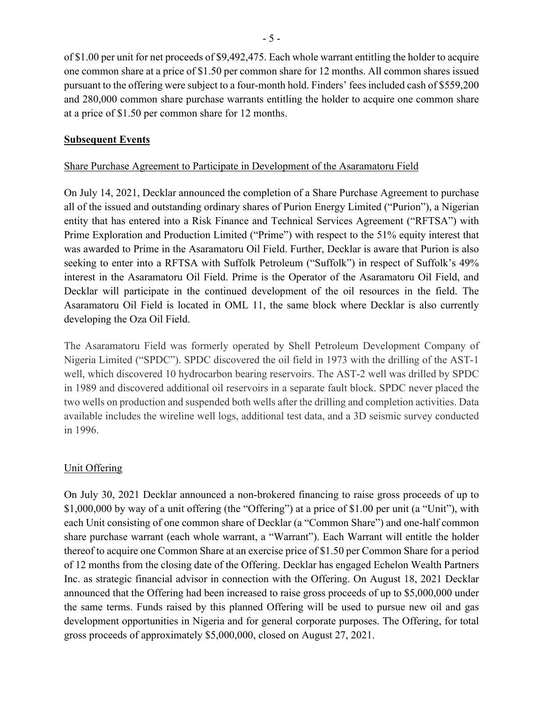of \$1.00 per unit for net proceeds of \$9,492,475. Each whole warrant entitling the holder to acquire one common share at a price of \$1.50 per common share for 12 months. All common shares issued pursuant to the offering were subject to a four-month hold. Finders' fees included cash of \$559,200 and 280,000 common share purchase warrants entitling the holder to acquire one common share at a price of \$1.50 per common share for 12 months.

# **Subsequent Events**

# Share Purchase Agreement to Participate in Development of the Asaramatoru Field

On July 14, 2021, Decklar announced the completion of a Share Purchase Agreement to purchase all of the issued and outstanding ordinary shares of Purion Energy Limited ("Purion"), a Nigerian entity that has entered into a Risk Finance and Technical Services Agreement ("RFTSA") with Prime Exploration and Production Limited ("Prime") with respect to the 51% equity interest that was awarded to Prime in the Asaramatoru Oil Field. Further, Decklar is aware that Purion is also seeking to enter into a RFTSA with Suffolk Petroleum ("Suffolk") in respect of Suffolk's 49% interest in the Asaramatoru Oil Field. Prime is the Operator of the Asaramatoru Oil Field, and Decklar will participate in the continued development of the oil resources in the field. The Asaramatoru Oil Field is located in OML 11, the same block where Decklar is also currently developing the Oza Oil Field.

The Asaramatoru Field was formerly operated by Shell Petroleum Development Company of Nigeria Limited ("SPDC"). SPDC discovered the oil field in 1973 with the drilling of the AST-1 well, which discovered 10 hydrocarbon bearing reservoirs. The AST-2 well was drilled by SPDC in 1989 and discovered additional oil reservoirs in a separate fault block. SPDC never placed the two wells on production and suspended both wells after the drilling and completion activities. Data available includes the wireline well logs, additional test data, and a 3D seismic survey conducted in 1996.

# Unit Offering

On July 30, 2021 Decklar announced a non-brokered financing to raise gross proceeds of up to \$1,000,000 by way of a unit offering (the "Offering") at a price of \$1.00 per unit (a "Unit"), with each Unit consisting of one common share of Decklar (a "Common Share") and one-half common share purchase warrant (each whole warrant, a "Warrant"). Each Warrant will entitle the holder thereof to acquire one Common Share at an exercise price of \$1.50 per Common Share for a period of 12 months from the closing date of the Offering. Decklar has engaged Echelon Wealth Partners Inc. as strategic financial advisor in connection with the Offering. On August 18, 2021 Decklar announced that the Offering had been increased to raise gross proceeds of up to \$5,000,000 under the same terms. Funds raised by this planned Offering will be used to pursue new oil and gas development opportunities in Nigeria and for general corporate purposes. The Offering, for total gross proceeds of approximately \$5,000,000, closed on August 27, 2021.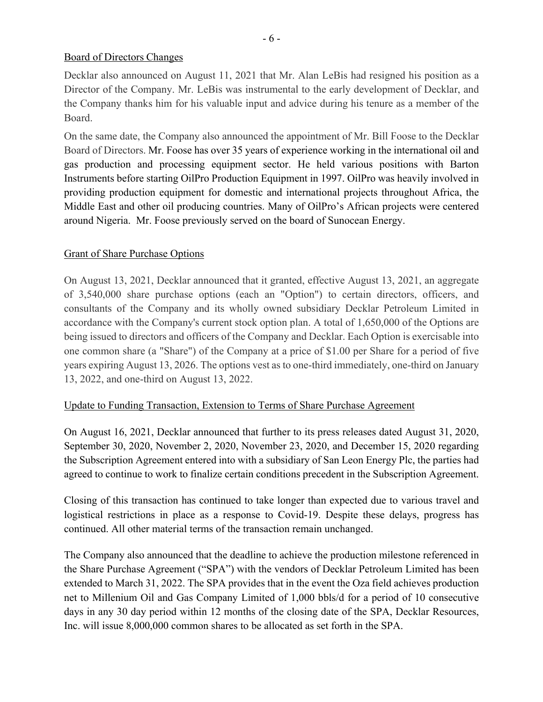# Board of Directors Changes

Decklar also announced on August 11, 2021 that Mr. Alan LeBis had resigned his position as a Director of the Company. Mr. LeBis was instrumental to the early development of Decklar, and the Company thanks him for his valuable input and advice during his tenure as a member of the Board.

On the same date, the Company also announced the appointment of Mr. Bill Foose to the Decklar Board of Directors. Mr. Foose has over 35 years of experience working in the international oil and gas production and processing equipment sector. He held various positions with Barton Instruments before starting OilPro Production Equipment in 1997. OilPro was heavily involved in providing production equipment for domestic and international projects throughout Africa, the Middle East and other oil producing countries. Many of OilPro's African projects were centered around Nigeria. Mr. Foose previously served on the board of Sunocean Energy.

# Grant of Share Purchase Options

On August 13, 2021, Decklar announced that it granted, effective August 13, 2021, an aggregate of 3,540,000 share purchase options (each an "Option") to certain directors, officers, and consultants of the Company and its wholly owned subsidiary Decklar Petroleum Limited in accordance with the Company's current stock option plan. A total of 1,650,000 of the Options are being issued to directors and officers of the Company and Decklar. Each Option is exercisable into one common share (a "Share") of the Company at a price of \$1.00 per Share for a period of five years expiring August 13, 2026. The options vest as to one-third immediately, one-third on January 13, 2022, and one-third on August 13, 2022.

# Update to Funding Transaction, Extension to Terms of Share Purchase Agreement

On August 16, 2021, Decklar announced that further to its press releases dated August 31, 2020, September 30, 2020, November 2, 2020, November 23, 2020, and December 15, 2020 regarding the Subscription Agreement entered into with a subsidiary of San Leon Energy Plc, the parties had agreed to continue to work to finalize certain conditions precedent in the Subscription Agreement.

Closing of this transaction has continued to take longer than expected due to various travel and logistical restrictions in place as a response to Covid-19. Despite these delays, progress has continued. All other material terms of the transaction remain unchanged.

The Company also announced that the deadline to achieve the production milestone referenced in the Share Purchase Agreement ("SPA") with the vendors of Decklar Petroleum Limited has been extended to March 31, 2022. The SPA provides that in the event the Oza field achieves production net to Millenium Oil and Gas Company Limited of 1,000 bbls/d for a period of 10 consecutive days in any 30 day period within 12 months of the closing date of the SPA, Decklar Resources, Inc. will issue 8,000,000 common shares to be allocated as set forth in the SPA.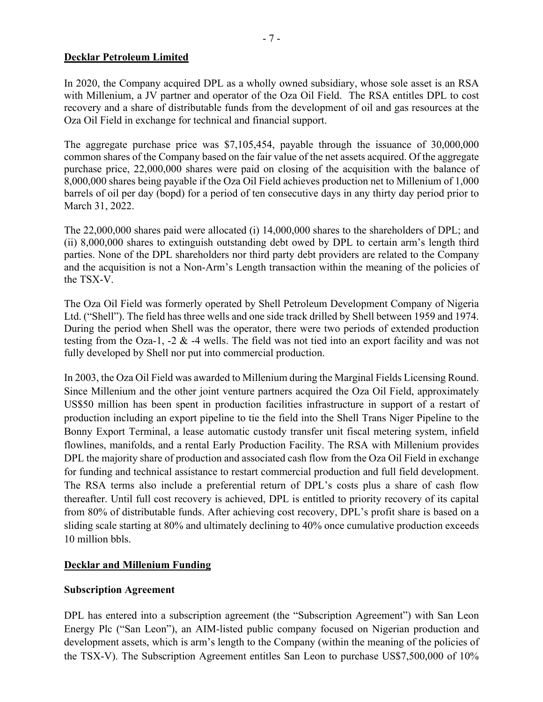# **Decklar Petroleum Limited**

In 2020, the Company acquired DPL as a wholly owned subsidiary, whose sole asset is an RSA with Millenium, a JV partner and operator of the Oza Oil Field. The RSA entitles DPL to cost recovery and a share of distributable funds from the development of oil and gas resources at the Oza Oil Field in exchange for technical and financial support.

The aggregate purchase price was \$7,105,454, payable through the issuance of 30,000,000 common shares of the Company based on the fair value of the net assets acquired. Of the aggregate purchase price, 22,000,000 shares were paid on closing of the acquisition with the balance of 8,000,000 shares being payable if the Oza Oil Field achieves production net to Millenium of 1,000 barrels of oil per day (bopd) for a period of ten consecutive days in any thirty day period prior to March 31, 2022.

The 22,000,000 shares paid were allocated (i) 14,000,000 shares to the shareholders of DPL; and (ii) 8,000,000 shares to extinguish outstanding debt owed by DPL to certain arm's length third parties. None of the DPL shareholders nor third party debt providers are related to the Company and the acquisition is not a Non-Arm's Length transaction within the meaning of the policies of the TSX-V.

The Oza Oil Field was formerly operated by Shell Petroleum Development Company of Nigeria Ltd. ("Shell"). The field has three wells and one side track drilled by Shell between 1959 and 1974. During the period when Shell was the operator, there were two periods of extended production testing from the Oza-1, -2 & -4 wells. The field was not tied into an export facility and was not fully developed by Shell nor put into commercial production.

In 2003, the Oza Oil Field was awarded to Millenium during the Marginal Fields Licensing Round. Since Millenium and the other joint venture partners acquired the Oza Oil Field, approximately US\$50 million has been spent in production facilities infrastructure in support of a restart of production including an export pipeline to tie the field into the Shell Trans Niger Pipeline to the Bonny Export Terminal, a lease automatic custody transfer unit fiscal metering system, infield flowlines, manifolds, and a rental Early Production Facility. The RSA with Millenium provides DPL the majority share of production and associated cash flow from the Oza Oil Field in exchange for funding and technical assistance to restart commercial production and full field development. The RSA terms also include a preferential return of DPL's costs plus a share of cash flow thereafter. Until full cost recovery is achieved, DPL is entitled to priority recovery of its capital from 80% of distributable funds. After achieving cost recovery, DPL's profit share is based on a sliding scale starting at 80% and ultimately declining to 40% once cumulative production exceeds 10 million bbls.

# **Decklar and Millenium Funding**

# **Subscription Agreement**

DPL has entered into a subscription agreement (the "Subscription Agreement") with San Leon Energy Plc ("San Leon"), an AIM-listed public company focused on Nigerian production and development assets, which is arm's length to the Company (within the meaning of the policies of the TSX-V). The Subscription Agreement entitles San Leon to purchase US\$7,500,000 of 10%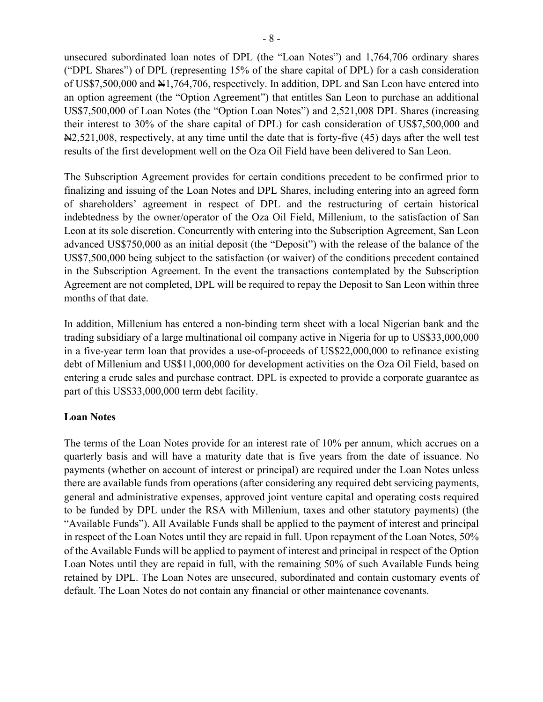unsecured subordinated loan notes of DPL (the "Loan Notes") and 1,764,706 ordinary shares ("DPL Shares") of DPL (representing 15% of the share capital of DPL) for a cash consideration of US\$7,500,000 and  $\frac{1}{2}$ 1,764,706, respectively. In addition, DPL and San Leon have entered into an option agreement (the "Option Agreement") that entitles San Leon to purchase an additional US\$7,500,000 of Loan Notes (the "Option Loan Notes") and 2,521,008 DPL Shares (increasing their interest to 30% of the share capital of DPL) for cash consideration of US\$7,500,000 and N2,521,008, respectively, at any time until the date that is forty-five (45) days after the well test results of the first development well on the Oza Oil Field have been delivered to San Leon.

The Subscription Agreement provides for certain conditions precedent to be confirmed prior to finalizing and issuing of the Loan Notes and DPL Shares, including entering into an agreed form of shareholders' agreement in respect of DPL and the restructuring of certain historical indebtedness by the owner/operator of the Oza Oil Field, Millenium, to the satisfaction of San Leon at its sole discretion. Concurrently with entering into the Subscription Agreement, San Leon advanced US\$750,000 as an initial deposit (the "Deposit") with the release of the balance of the US\$7,500,000 being subject to the satisfaction (or waiver) of the conditions precedent contained in the Subscription Agreement. In the event the transactions contemplated by the Subscription Agreement are not completed, DPL will be required to repay the Deposit to San Leon within three months of that date.

In addition, Millenium has entered a non-binding term sheet with a local Nigerian bank and the trading subsidiary of a large multinational oil company active in Nigeria for up to US\$33,000,000 in a five-year term loan that provides a use-of-proceeds of US\$22,000,000 to refinance existing debt of Millenium and US\$11,000,000 for development activities on the Oza Oil Field, based on entering a crude sales and purchase contract. DPL is expected to provide a corporate guarantee as part of this US\$33,000,000 term debt facility.

# **Loan Notes**

The terms of the Loan Notes provide for an interest rate of 10% per annum, which accrues on a quarterly basis and will have a maturity date that is five years from the date of issuance. No payments (whether on account of interest or principal) are required under the Loan Notes unless there are available funds from operations (after considering any required debt servicing payments, general and administrative expenses, approved joint venture capital and operating costs required to be funded by DPL under the RSA with Millenium, taxes and other statutory payments) (the "Available Funds"). All Available Funds shall be applied to the payment of interest and principal in respect of the Loan Notes until they are repaid in full. Upon repayment of the Loan Notes, 50% of the Available Funds will be applied to payment of interest and principal in respect of the Option Loan Notes until they are repaid in full, with the remaining 50% of such Available Funds being retained by DPL. The Loan Notes are unsecured, subordinated and contain customary events of default. The Loan Notes do not contain any financial or other maintenance covenants.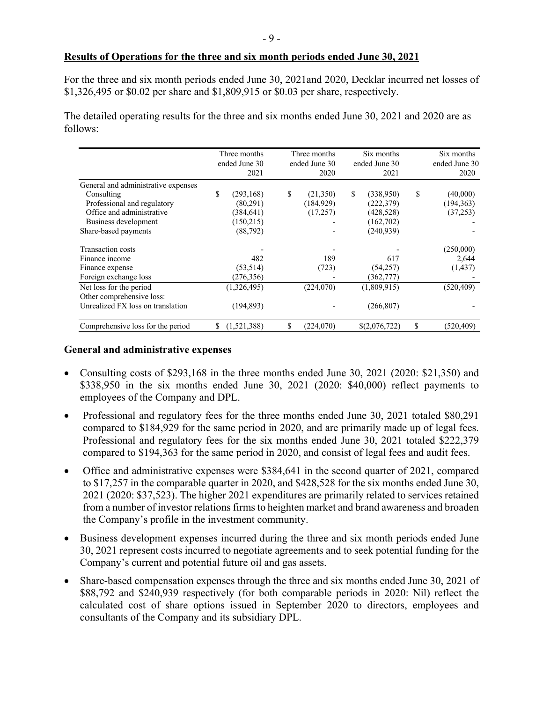#### **Results of Operations for the three and six month periods ended June 30, 2021**

For the three and six month periods ended June 30, 2021and 2020, Decklar incurred net losses of \$1,326,495 or \$0.02 per share and \$1,809,915 or \$0.03 per share, respectively.

The detailed operating results for the three and six months ended June 30, 2021 and 2020 are as follows:

|                                     |    | Three months<br>ended June 30<br>2021 | Three months<br>ended June 30<br>2020 |            | Six months<br>ended June 30<br>2021 |               | Six months<br>ended June 30<br>2020 |
|-------------------------------------|----|---------------------------------------|---------------------------------------|------------|-------------------------------------|---------------|-------------------------------------|
| General and administrative expenses |    |                                       |                                       |            |                                     |               |                                     |
| Consulting                          | \$ | (293, 168)                            | \$                                    | (21,350)   | \$                                  | (338,950)     | \$<br>(40,000)                      |
| Professional and regulatory         |    | (80,291)                              |                                       | (184, 929) |                                     | (222, 379)    | (194, 363)                          |
| Office and administrative           |    | (384, 641)                            |                                       | (17,257)   |                                     | (428, 528)    | (37,253)                            |
| Business development                |    | (150,215)                             |                                       |            |                                     | (162, 702)    |                                     |
| Share-based payments                |    | (88, 792)                             |                                       |            |                                     | (240, 939)    |                                     |
| Transaction costs                   |    |                                       |                                       |            |                                     |               | (250,000)                           |
| Finance income                      |    | 482                                   |                                       | 189        |                                     | 617           | 2,644                               |
| Finance expense                     |    | (53, 514)                             |                                       | (723)      |                                     | (54,257)      | (1,437)                             |
| Foreign exchange loss               |    | (276, 356)                            |                                       |            |                                     | (362, 777)    |                                     |
| Net loss for the period             |    | (1,326,495)                           |                                       | (224,070)  |                                     | (1,809,915)   | (520, 409)                          |
| Other comprehensive loss:           |    |                                       |                                       |            |                                     |               |                                     |
| Unrealized FX loss on translation   |    | (194, 893)                            |                                       |            |                                     | (266, 807)    |                                     |
| Comprehensive loss for the period   | S  | (1,521,388)                           | \$                                    | (224,070)  |                                     | \$(2,076,722) | \$<br>(520,409)                     |

#### **General and administrative expenses**

- Consulting costs of \$293,168 in the three months ended June 30, 2021 (2020: \$21,350) and \$338,950 in the six months ended June 30, 2021 (2020: \$40,000) reflect payments to employees of the Company and DPL.
- Professional and regulatory fees for the three months ended June 30, 2021 totaled \$80,291 compared to \$184,929 for the same period in 2020, and are primarily made up of legal fees. Professional and regulatory fees for the six months ended June 30, 2021 totaled \$222,379 compared to \$194,363 for the same period in 2020, and consist of legal fees and audit fees.
- Office and administrative expenses were \$384,641 in the second quarter of 2021, compared to \$17,257 in the comparable quarter in 2020, and \$428,528 for the six months ended June 30, 2021 (2020: \$37,523). The higher 2021 expenditures are primarily related to services retained from a number of investor relations firms to heighten market and brand awareness and broaden the Company's profile in the investment community.
- Business development expenses incurred during the three and six month periods ended June 30, 2021 represent costs incurred to negotiate agreements and to seek potential funding for the Company's current and potential future oil and gas assets.
- Share-based compensation expenses through the three and six months ended June 30, 2021 of \$88,792 and \$240,939 respectively (for both comparable periods in 2020: Nil) reflect the calculated cost of share options issued in September 2020 to directors, employees and consultants of the Company and its subsidiary DPL.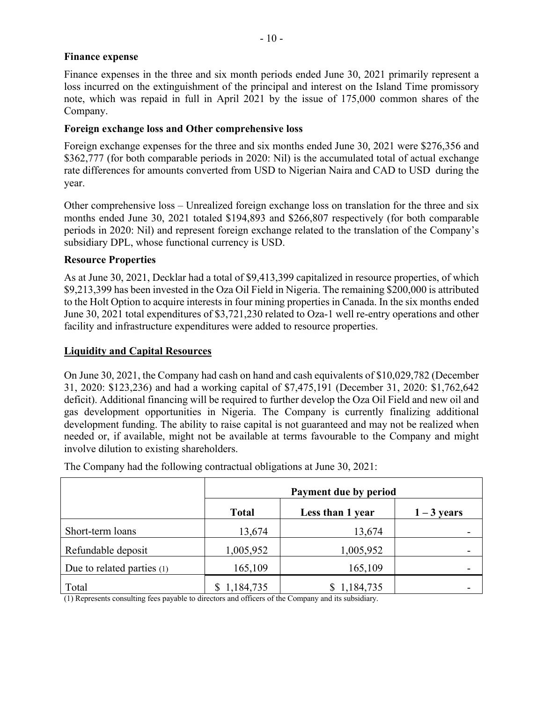# **Finance expense**

Finance expenses in the three and six month periods ended June 30, 2021 primarily represent a loss incurred on the extinguishment of the principal and interest on the Island Time promissory note, which was repaid in full in April 2021 by the issue of 175,000 common shares of the Company.

# **Foreign exchange loss and Other comprehensive loss**

Foreign exchange expenses for the three and six months ended June 30, 2021 were \$276,356 and \$362,777 (for both comparable periods in 2020: Nil) is the accumulated total of actual exchange rate differences for amounts converted from USD to Nigerian Naira and CAD to USD during the year.

Other comprehensive loss – Unrealized foreign exchange loss on translation for the three and six months ended June 30, 2021 totaled \$194,893 and \$266,807 respectively (for both comparable periods in 2020: Nil) and represent foreign exchange related to the translation of the Company's subsidiary DPL, whose functional currency is USD.

# **Resource Properties**

As at June 30, 2021, Decklar had a total of \$9,413,399 capitalized in resource properties, of which \$9,213,399 has been invested in the Oza Oil Field in Nigeria. The remaining \$200,000 is attributed to the Holt Option to acquire interests in four mining properties in Canada. In the six months ended June 30, 2021 total expenditures of \$3,721,230 related to Oza-1 well re-entry operations and other facility and infrastructure expenditures were added to resource properties.

# **Liquidity and Capital Resources**

On June 30, 2021, the Company had cash on hand and cash equivalents of \$10,029,782 (December 31, 2020: \$123,236) and had a working capital of \$7,475,191 (December 31, 2020: \$1,762,642 deficit). Additional financing will be required to further develop the Oza Oil Field and new oil and gas development opportunities in Nigeria. The Company is currently finalizing additional development funding. The ability to raise capital is not guaranteed and may not be realized when needed or, if available, might not be available at terms favourable to the Company and might involve dilution to existing shareholders.

|                              |              | Payment due by period |               |  |  |  |
|------------------------------|--------------|-----------------------|---------------|--|--|--|
|                              | <b>Total</b> | Less than 1 year      | $1 - 3$ years |  |  |  |
| Short-term loans             | 13,674       | 13,674                |               |  |  |  |
| Refundable deposit           | 1,005,952    | 1,005,952             |               |  |  |  |
| Due to related parties $(1)$ | 165,109      | 165,109               |               |  |  |  |
| Total                        | \$1,184,735  | 1,184,735             |               |  |  |  |

The Company had the following contractual obligations at June 30, 2021:

(1) Represents consulting fees payable to directors and officers of the Company and its subsidiary.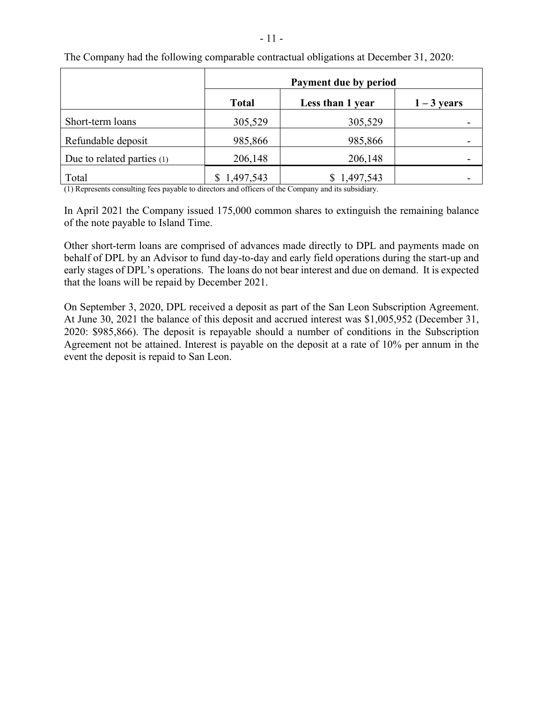|                            | Payment due by period |                  |               |  |  |
|----------------------------|-----------------------|------------------|---------------|--|--|
|                            | <b>Total</b>          | Less than 1 year | $1 - 3$ years |  |  |
| Short-term loans           | 305,529               | 305,529          |               |  |  |
| Refundable deposit         | 985,866               | 985,866          |               |  |  |
| Due to related parties (1) | 206,148               | 206,148          |               |  |  |
| Total                      | 1,497,543             | 1,497,543        |               |  |  |

The Company had the following comparable contractual obligations at December 31, 2020:

(1) Represents consulting fees payable to directors and officers of the Company and its subsidiary.

In April 2021 the Company issued 175,000 common shares to extinguish the remaining balance of the note payable to Island Time.

Other short-term loans are comprised of advances made directly to DPL and payments made on behalf of DPL by an Advisor to fund day-to-day and early field operations during the start-up and early stages of DPL's operations. The loans do not bear interest and due on demand. It is expected that the loans will be repaid by December 2021.

On September 3, 2020, DPL received a deposit as part of the San Leon Subscription Agreement. At June 30, 2021 the balance of this deposit and accrued interest was \$1,005,952 (December 31, 2020: \$985,866). The deposit is repayable should a number of conditions in the Subscription Agreement not be attained. Interest is payable on the deposit at a rate of 10% per annum in the event the deposit is repaid to San Leon.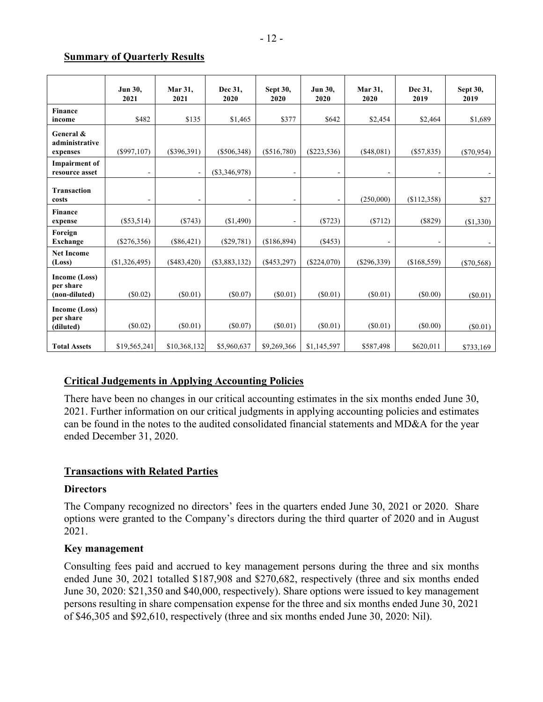#### **Summary of Quarterly Results**

|                                             | Jun 30,<br>2021 | Mar 31,<br>2021          | Dec 31,<br>2020          | Sept 30,<br>2020             | <b>Jun 30.</b><br>2020   | Mar 31,<br>2020 | Dec 31,<br>2019          | <b>Sept 30,</b><br>2019 |
|---------------------------------------------|-----------------|--------------------------|--------------------------|------------------------------|--------------------------|-----------------|--------------------------|-------------------------|
| <b>Finance</b><br>income                    | \$482           | \$135                    | \$1,465                  | \$377                        | \$642                    | \$2,454         | \$2,464                  | \$1,689                 |
| General &<br>administrative<br>expenses     | $(\$997,107)$   | $(\$396,391)$            | $(\$506,348)$            | $(\$516,780)$                | $(\$223,536)$            | (\$48,081)      | $(\$57,835)$             | $(\$70,954)$            |
| <b>Impairment</b> of<br>resource asset      | $\overline{a}$  | $\blacksquare$           | $(\$3,346,978)$          | ٠                            | $\overline{a}$           |                 | $\overline{\phantom{a}}$ |                         |
| <b>Transaction</b><br>costs                 | ۰               | $\overline{\phantom{a}}$ | $\overline{\phantom{a}}$ | ۰                            | $\overline{\phantom{a}}$ | (250,000)       | (\$112,358)              | \$27                    |
| <b>Finance</b><br>expense                   | $(\$53,514)$    | (\$743)                  | (\$1,490)                | $\qquad \qquad \blacksquare$ | $(*723)$                 | (\$712)         | (\$829)                  | (\$1,330)               |
| Foreign<br><b>Exchange</b>                  | $(\$276,356)$   | $(\$86,421)$             | $(\$29,781)$             | (\$186,894)                  | $(\$453)$                |                 | $\overline{\phantom{a}}$ |                         |
| <b>Net Income</b><br>(Loss)                 | (\$1,326,495)   | $(\$483,420)$            | $(\$3,883,132)$          | $($ \$453,297)               | $(\$224,070)$            | $(\$296,339)$   | (\$168,559)              | $(\$70,568)$            |
| Income (Loss)<br>per share<br>(non-diluted) | $(\$0.02)$      | $(\$0.01)$               | (S0.07)                  | $(\$0.01)$                   | (S0.01)                  | $(\$0.01)$      | $(\$0.00)$               | (S0.01)                 |
| Income (Loss)<br>per share<br>(diluted)     | $(\$0.02)$      | $(\$0.01)$               | $(\$0.07)$               | $(\$0.01)$                   | $(\$0.01)$               | $(\$0.01)$      | (\$0.00)                 | (S0.01)                 |
| <b>Total Assets</b>                         | \$19,565,241    | \$10,368,132             | \$5,960,637              | \$9,269,366                  | \$1,145,597              | \$587,498       | \$620,011                | \$733,169               |

# **Critical Judgements in Applying Accounting Policies**

There have been no changes in our critical accounting estimates in the six months ended June 30, 2021. Further information on our critical judgments in applying accounting policies and estimates can be found in the notes to the audited consolidated financial statements and MD&A for the year ended December 31, 2020.

# **Transactions with Related Parties**

# **Directors**

The Company recognized no directors' fees in the quarters ended June 30, 2021 or 2020. Share options were granted to the Company's directors during the third quarter of 2020 and in August 2021.

# **Key management**

Consulting fees paid and accrued to key management persons during the three and six months ended June 30, 2021 totalled \$187,908 and \$270,682, respectively (three and six months ended June 30, 2020: \$21,350 and \$40,000, respectively). Share options were issued to key management persons resulting in share compensation expense for the three and six months ended June 30, 2021 of \$46,305 and \$92,610, respectively (three and six months ended June 30, 2020: Nil).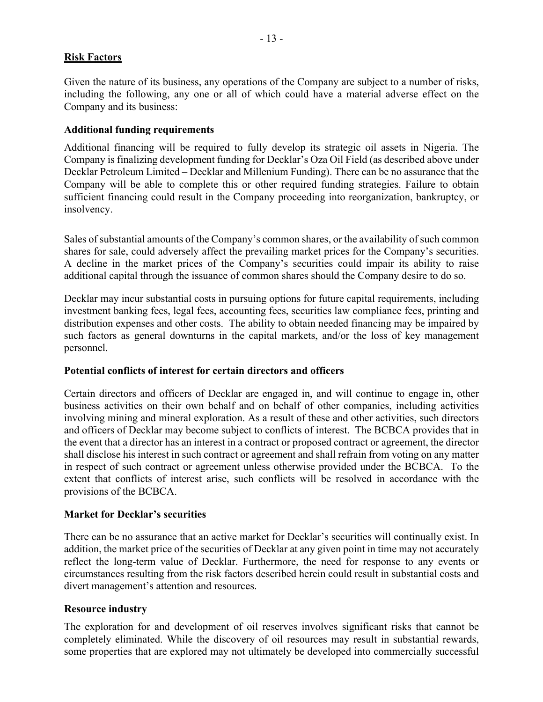# **Risk Factors**

Given the nature of its business, any operations of the Company are subject to a number of risks, including the following, any one or all of which could have a material adverse effect on the Company and its business:

#### **Additional funding requirements**

Additional financing will be required to fully develop its strategic oil assets in Nigeria. The Company is finalizing development funding for Decklar's Oza Oil Field (as described above under Decklar Petroleum Limited – Decklar and Millenium Funding). There can be no assurance that the Company will be able to complete this or other required funding strategies. Failure to obtain sufficient financing could result in the Company proceeding into reorganization, bankruptcy, or insolvency.

Sales of substantial amounts of the Company's common shares, or the availability of such common shares for sale, could adversely affect the prevailing market prices for the Company's securities. A decline in the market prices of the Company's securities could impair its ability to raise additional capital through the issuance of common shares should the Company desire to do so.

Decklar may incur substantial costs in pursuing options for future capital requirements, including investment banking fees, legal fees, accounting fees, securities law compliance fees, printing and distribution expenses and other costs. The ability to obtain needed financing may be impaired by such factors as general downturns in the capital markets, and/or the loss of key management personnel.

# **Potential conflicts of interest for certain directors and officers**

Certain directors and officers of Decklar are engaged in, and will continue to engage in, other business activities on their own behalf and on behalf of other companies, including activities involving mining and mineral exploration. As a result of these and other activities, such directors and officers of Decklar may become subject to conflicts of interest. The BCBCA provides that in the event that a director has an interest in a contract or proposed contract or agreement, the director shall disclose his interest in such contract or agreement and shall refrain from voting on any matter in respect of such contract or agreement unless otherwise provided under the BCBCA. To the extent that conflicts of interest arise, such conflicts will be resolved in accordance with the provisions of the BCBCA.

#### **Market for Decklar's securities**

There can be no assurance that an active market for Decklar's securities will continually exist. In addition, the market price of the securities of Decklar at any given point in time may not accurately reflect the long-term value of Decklar. Furthermore, the need for response to any events or circumstances resulting from the risk factors described herein could result in substantial costs and divert management's attention and resources.

#### **Resource industry**

The exploration for and development of oil reserves involves significant risks that cannot be completely eliminated. While the discovery of oil resources may result in substantial rewards, some properties that are explored may not ultimately be developed into commercially successful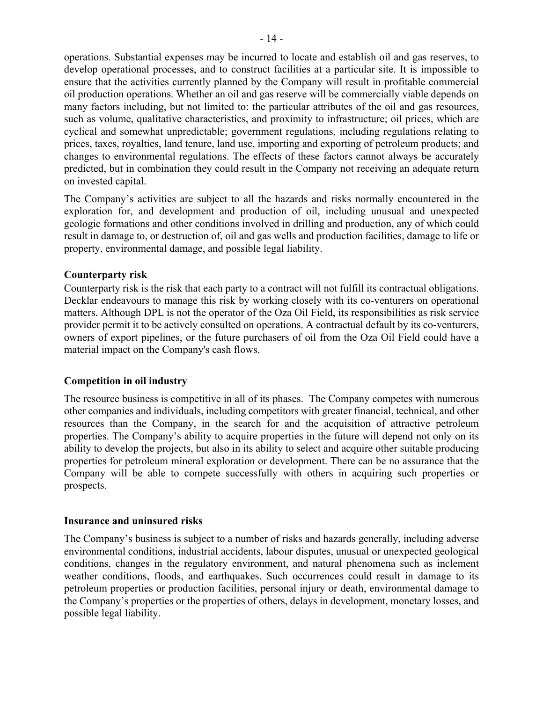operations. Substantial expenses may be incurred to locate and establish oil and gas reserves, to develop operational processes, and to construct facilities at a particular site. It is impossible to ensure that the activities currently planned by the Company will result in profitable commercial oil production operations. Whether an oil and gas reserve will be commercially viable depends on many factors including, but not limited to: the particular attributes of the oil and gas resources, such as volume, qualitative characteristics, and proximity to infrastructure; oil prices, which are cyclical and somewhat unpredictable; government regulations, including regulations relating to prices, taxes, royalties, land tenure, land use, importing and exporting of petroleum products; and changes to environmental regulations. The effects of these factors cannot always be accurately predicted, but in combination they could result in the Company not receiving an adequate return on invested capital.

The Company's activities are subject to all the hazards and risks normally encountered in the exploration for, and development and production of oil, including unusual and unexpected geologic formations and other conditions involved in drilling and production, any of which could result in damage to, or destruction of, oil and gas wells and production facilities, damage to life or property, environmental damage, and possible legal liability.

# **Counterparty risk**

Counterparty risk is the risk that each party to a contract will not fulfill its contractual obligations. Decklar endeavours to manage this risk by working closely with its co-venturers on operational matters. Although DPL is not the operator of the Oza Oil Field, its responsibilities as risk service provider permit it to be actively consulted on operations. A contractual default by its co-venturers, owners of export pipelines, or the future purchasers of oil from the Oza Oil Field could have a material impact on the Company's cash flows.

# **Competition in oil industry**

The resource business is competitive in all of its phases. The Company competes with numerous other companies and individuals, including competitors with greater financial, technical, and other resources than the Company, in the search for and the acquisition of attractive petroleum properties. The Company's ability to acquire properties in the future will depend not only on its ability to develop the projects, but also in its ability to select and acquire other suitable producing properties for petroleum mineral exploration or development. There can be no assurance that the Company will be able to compete successfully with others in acquiring such properties or prospects.

# **Insurance and uninsured risks**

The Company's business is subject to a number of risks and hazards generally, including adverse environmental conditions, industrial accidents, labour disputes, unusual or unexpected geological conditions, changes in the regulatory environment, and natural phenomena such as inclement weather conditions, floods, and earthquakes. Such occurrences could result in damage to its petroleum properties or production facilities, personal injury or death, environmental damage to the Company's properties or the properties of others, delays in development, monetary losses, and possible legal liability.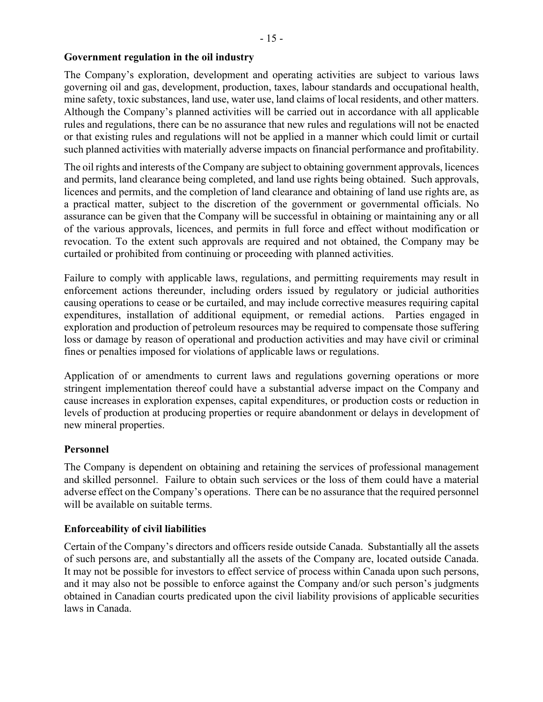# **Government regulation in the oil industry**

The Company's exploration, development and operating activities are subject to various laws governing oil and gas, development, production, taxes, labour standards and occupational health, mine safety, toxic substances, land use, water use, land claims of local residents, and other matters. Although the Company's planned activities will be carried out in accordance with all applicable rules and regulations, there can be no assurance that new rules and regulations will not be enacted or that existing rules and regulations will not be applied in a manner which could limit or curtail such planned activities with materially adverse impacts on financial performance and profitability.

The oil rights and interests of the Company are subject to obtaining government approvals, licences and permits, land clearance being completed, and land use rights being obtained. Such approvals, licences and permits, and the completion of land clearance and obtaining of land use rights are, as a practical matter, subject to the discretion of the government or governmental officials. No assurance can be given that the Company will be successful in obtaining or maintaining any or all of the various approvals, licences, and permits in full force and effect without modification or revocation. To the extent such approvals are required and not obtained, the Company may be curtailed or prohibited from continuing or proceeding with planned activities.

Failure to comply with applicable laws, regulations, and permitting requirements may result in enforcement actions thereunder, including orders issued by regulatory or judicial authorities causing operations to cease or be curtailed, and may include corrective measures requiring capital expenditures, installation of additional equipment, or remedial actions. Parties engaged in exploration and production of petroleum resources may be required to compensate those suffering loss or damage by reason of operational and production activities and may have civil or criminal fines or penalties imposed for violations of applicable laws or regulations.

Application of or amendments to current laws and regulations governing operations or more stringent implementation thereof could have a substantial adverse impact on the Company and cause increases in exploration expenses, capital expenditures, or production costs or reduction in levels of production at producing properties or require abandonment or delays in development of new mineral properties.

# **Personnel**

The Company is dependent on obtaining and retaining the services of professional management and skilled personnel. Failure to obtain such services or the loss of them could have a material adverse effect on the Company's operations. There can be no assurance that the required personnel will be available on suitable terms.

# **Enforceability of civil liabilities**

Certain of the Company's directors and officers reside outside Canada. Substantially all the assets of such persons are, and substantially all the assets of the Company are, located outside Canada. It may not be possible for investors to effect service of process within Canada upon such persons, and it may also not be possible to enforce against the Company and/or such person's judgments obtained in Canadian courts predicated upon the civil liability provisions of applicable securities laws in Canada.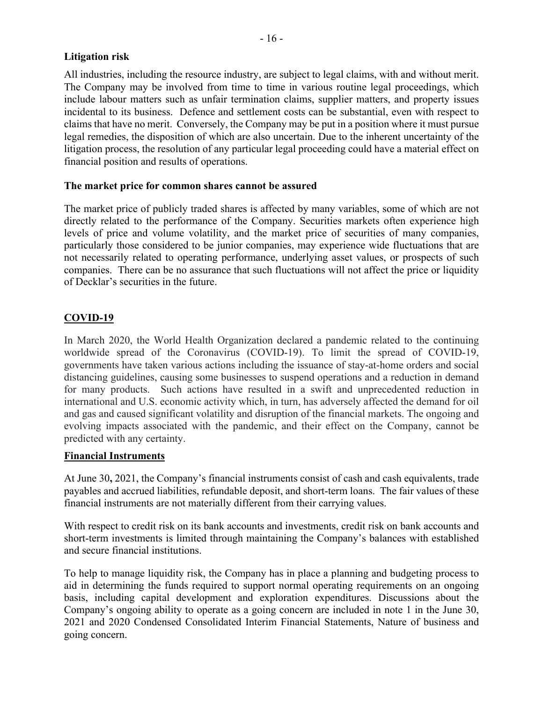# **Litigation risk**

All industries, including the resource industry, are subject to legal claims, with and without merit. The Company may be involved from time to time in various routine legal proceedings, which include labour matters such as unfair termination claims, supplier matters, and property issues incidental to its business. Defence and settlement costs can be substantial, even with respect to claims that have no merit. Conversely, the Company may be put in a position where it must pursue legal remedies, the disposition of which are also uncertain. Due to the inherent uncertainty of the litigation process, the resolution of any particular legal proceeding could have a material effect on financial position and results of operations.

# **The market price for common shares cannot be assured**

The market price of publicly traded shares is affected by many variables, some of which are not directly related to the performance of the Company. Securities markets often experience high levels of price and volume volatility, and the market price of securities of many companies, particularly those considered to be junior companies, may experience wide fluctuations that are not necessarily related to operating performance, underlying asset values, or prospects of such companies. There can be no assurance that such fluctuations will not affect the price or liquidity of Decklar's securities in the future.

# **COVID-19**

In March 2020, the World Health Organization declared a pandemic related to the continuing worldwide spread of the Coronavirus (COVID-19). To limit the spread of COVID-19, governments have taken various actions including the issuance of stay-at-home orders and social distancing guidelines, causing some businesses to suspend operations and a reduction in demand for many products. Such actions have resulted in a swift and unprecedented reduction in international and U.S. economic activity which, in turn, has adversely affected the demand for oil and gas and caused significant volatility and disruption of the financial markets. The ongoing and evolving impacts associated with the pandemic, and their effect on the Company, cannot be predicted with any certainty.

# **Financial Instruments**

At June 30**,** 2021, the Company's financial instruments consist of cash and cash equivalents, trade payables and accrued liabilities, refundable deposit, and short-term loans. The fair values of these financial instruments are not materially different from their carrying values.

With respect to credit risk on its bank accounts and investments, credit risk on bank accounts and short-term investments is limited through maintaining the Company's balances with established and secure financial institutions.

To help to manage liquidity risk, the Company has in place a planning and budgeting process to aid in determining the funds required to support normal operating requirements on an ongoing basis, including capital development and exploration expenditures. Discussions about the Company's ongoing ability to operate as a going concern are included in note 1 in the June 30, 2021 and 2020 Condensed Consolidated Interim Financial Statements, Nature of business and going concern.